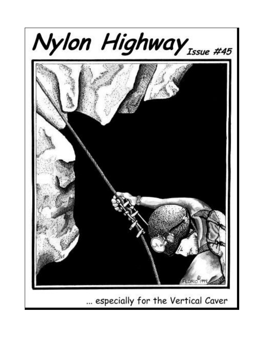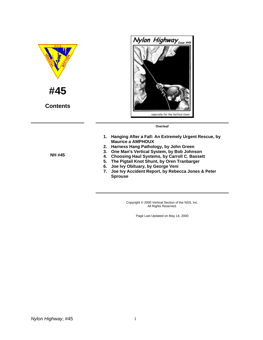

Copyright © 2000 Vertical Section of the NSS, Inc. All Rights Reserved.

Page Last Updated on May 14, 2000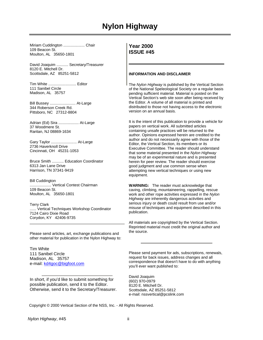# **Nylon Highway**

Miriam Cuddington ...................... Chair 109 Beacon St. Moulton, AL 35650-1801

David Joaquim ........... Secretary/Treasurer 8120 E. Mitchell Dr. Scottsdale, AZ 85251-5812

Tim White .......................... Editor 111 Sanibel Circle Madison, AL 35757

Bill Bussey ........................ At-Large 344 Roberson Creek Rd. Pittsboro, NC 27312-8804

Adrian (Ed) Sira ................... At-Large 37 Woodmere St. Raritan, NJ 08869-1634

Gary Taylor ........................ At-Large 2736 Haverknoll Drive Cincinnati, OH 45231-1053

Bruce Smith ........... Education Coordinator 6313 Jan Lane Drive Harrison, TN 37341-9419

Bill Cuddington .................... Vertical Contest Chairman 109 Beacon St. Moulton, AL 35650-1801

Terry Clark ...... Vertical Techniques Workshop Coordinator 7124 Cairo Dixie Road Corydon, KY 42406-9735

Please send articles, art, exchange publications and other material for publication in the Nylon Highway to:

Tim White 111 Sanibel Circle Madison, AL 35757 e-mail: [kd4goc@bigfoot.com](mailto:kd4goc@bigfoot.com)

In short, if you'd like to submit something for possible publication, send it to the Editor. Otherwise, send it to the Secretary/Treasurer.

#### **Year 2000 ISSUE #45**

#### **INFORMATION AND DISCLAIMER**

The *Nylon Highway* is published by the Vertical Section of the National Speleological Society on a regular basis pending sufficient material. Material is posted on the Vertical Section's web site soon after being received by the Editor. A volume of all material is printed and distributed to those not having access to the electronic version on an annual basis.

It is the intent of this publication to provide a vehicle for papers on vertical work. All submitted articles containing unsafe practices will be returned to the author. Opinions expressed herein are credited to the author and do not necessarily agree with those of the Editor, the Vertical Section, its members or its Executive Committee. The reader should understand that some material presented in the *Nylon Highway* may be of an experimental nature and is presented herein for peer review. The reader should exercise good judgment and use common sense when attempting new vertical techniques or using new equipment.

**WARNING:** The reader must acknowledge that caving, climbing, mountaineering, rappelling, rescue work and other rope activities expressed in the *Nylon Highway* are inherently dangerous activities and serious injury or death could result from use and/or misuse of techniques and equipment described in this publication.

All materials are copyrighted by the Vertical Section. Reprinted material must credit the original author and the source.

Please send payment for ads, subscriptions, renewals, request for back issues, address changes and all correspondence that doesn't have to do with anything you'll ever want published to:

David Joaquim (602) 970-0979 8120 E. Mitchell Dr. Scottsdale, AZ 85251-5812 e-mail: nssvertical@pcslink.com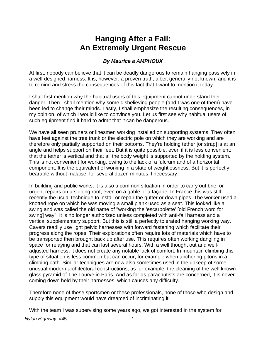# **Hanging After a Fall: An Extremely Urgent Rescue**

# *By Maurice a AMPHOUX*

At first, nobody can believe that it can be deadly dangerous to remain hanging passively in a well-designed harness. It is, however, a proven truth, albeit generally not known, and it is to remind and stress the consequences of this fact that I want to mention it today.

I shall first mention why the habitual users of this equipment cannot understand their danger. Then I shall mention why some disbelieving people (and I was one of them) have been led to change their minds. Lastly, I shall emphasize the resulting consequences, in my opinion, of which I would like to convince you. Let us first see why habitual users of such equipment find it hard to admit that it can be dangerous.

We have all seen pruners or linesmen working installed on supporting systems. They often have feet against the tree trunk or the electric pole on which they are working and are therefore only partially supported on their bottoms. They're holding tether [or strap] is at an angle and helps support on their feet. But it is quite possible, even if it is less convenient; that the tether is vertical and that all the body weight is supported by the holding system. This is not convenient for working, owing to the lack of a fulcrum and of a horizontal component. It is the equivalent of working in a state of weightlessness. But it is perfectly bearable without malaise, for several dozen minutes if necessary.

In building and public works, it is also a common situation in order to carry out brief or urgent repairs on a sloping roof, even on a gable or a façade. In France this was still recently the usual technique to install or repair the gutter or down pipes. The worker used a knotted rope on which he was moving a small plank used as a seat. This looked like a swing and was called the old name of "working the 'escarpolette' [old French word for swing] way". It is no longer authorized unless completed with anti-fall harness and a vertical supplementary support. But this is still a perfectly tolerated hanging working way. Cavers readily use light pelvic harnesses with forward fastening which facilitate their progress along the ropes. Their explorations often require lots of materials which have to be transported then brought back up after use. This requires often working dangling in space for relaying and that can last several hours. With a well thought out and welladjusted harness, it does not create any notable lack of comfort. In mountain climbing this type of situation is less common but can occur, for example when anchoring pitons in a climbing path. Similar techniques are now also sometimes used in the upkeep of some unusual modern architectural constructions, as for example, the cleaning of the well known glass pyramid of The Lourve in Paris. And as far as parachutists are concerned, it is never coming down held by their harnesses, which causes any difficulty.

Therefore none of these sportsmen or these professionals, none of those who design and supply this equipment would have dreamed of incriminating it.

With the team I was supervising some years ago, we got interested in the system for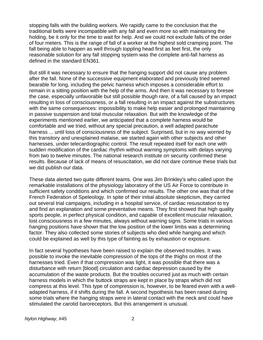stopping falls with the building workers. We rapidly came to the conclusion that the traditional belts were incompatible with any fall and even more so with maintaining the holding, be it only for the time to wait for help. And we could not exclude falls of the order of four meters. This is the range of fall of a worker at the highest sold cramping point. The fall being able to happen as well through toppling head first as feet first, the only reasonable solution for any fall stopping system was the complete anti-fall harness as defined in the standard EN361.

But still it was necessary to ensure that the hanging support did not cause any problem after the fall. None of the successive equipment elaborated and previously tried seemed bearable for long, including the pelvic harness which imposes a considerable effort to remain in a sitting position with the help of the arms. And then it was necessary to foresee the case, especially unfavorable but still possible though rare, of a fall caused by an impact resulting in loss of consciousness, or a fall resulting in an impact against the substructures with the same consequences: impossibility to make help easier and prolonged maintaining in passive suspension and total muscular relaxation. But with the knowledge of the experiments mentioned earlier, we anticipated that a complete harness would be comfortable and we tried, without any special precaution, a well adapted parachute harness ... until loss of consciousness of the subject. Surprised, but in no way worried by this transitory and unexplained malaise, we started again with other subjects and other harnesses, under telecardiographic control. The result repeated itself for each one with sudden modification of the cardiac rhythm without warning symptoms with delays varying from two to twelve minutes. The national research institute on security confirmed these results. Because of lack of means of resuscitation, we did not dare continue these trials but we did publish our data.

These data alerted two quite different teams. One was Jim Brinkley's who called upon the remarkable installations of the physiology laboratory of the US Air Force to contribute in sufficient safety conditions and which confirmed our results. The other one was that of the French Federation of Speleology. In spite of their initial absolute skepticism, they carried out several trial campaigns, including in a hospital service, of cardiac resuscitation to try and find an explanation and some preventative means. They first showed that high quality sports people, in perfect physical condition, and capable of excellent muscular relaxation, lost consciousness in a few minutes, always without warning signs. Some trials in various hanging positions have shown that the low position of the lower limbs was a determining factor. They also collected some stories of subjects who died while hanging and which could be explained as well by this type of fainting as by exhaustion or exposure.

In fact several hypotheses have been raised to explain the observed troubles. It was possible to invoke the inevitable compression of the tops of the thighs on most of the harnesses tried. Even if that compression was light, it was possible that there was a disturbance with return [blood] circulation and cardiac depression caused by the accumulation of the waste products. But the troubles occurred just as much with certain harness models in which the buttock straps are kept in place by straps which did not compress at this level. This type of compression is, however, to be feared even with a welladapted harness, if it shifts during the fall. A second hypothesis has been raised during some trials where the hanging straps were in lateral contact with the neck and could have stimulated the carotid baroreceptors. But this arrangement is unusual.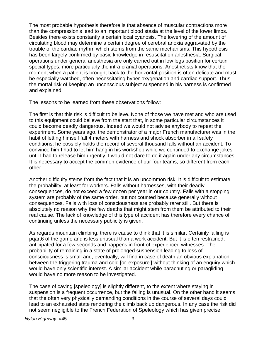The most probable hypothesis therefore is that absence of muscular contractions more than the compression's lead to an important blood stasia at the level of the lower limbs. Besides there exists constantly a certain local cyanosis. The lowering of the amount of circulating blood may determine a certain degree of cerebral anoxia aggravated by the trouble of the cardiac rhythm which stems from the same mechanisms. This hypothesis has been largely confirmed by basic knowledge in resuscitation anesthesia. Surgical operations under general anesthesia are only carried out in low legs position for certain special types, more particularly the intra-cranial operations. Anesthetists know that the moment when a patient is brought back to the horizontal position is often delicate and must be especially watched, often necessitating hyper-oxygenation and cardiac support. Thus the mortal risk of keeping an unconscious subject suspended in his harness is confirmed and explained.

The lessons to be learned from these observations follow:

The first is that this risk is difficult to believe. None of those we have met and who are used to this equipment could believe from the start that, in some particular circumstances it could become deadly dangerous. Indeed we would not advise anybody to repeat the experiment. Some years ago, the demonstrator of a major French manufacturer was in the habit of letting himself fall 4 meters with harness and shock absorber in all safety conditions; he possibly holds the record of several thousand falls without an accident. To convince him I had to let him hang in his workshop while we continued to exchange jokes until I had to release him urgently. I would not dare to do it again under any circumstances. It is necessary to accept the common evidence of our four teams, so different from each other.

Another difficulty stems from the fact that it is an uncommon risk. It is difficult to estimate the probability, at least for workers. Falls without harnesses, with their deadly consequences, do not exceed a few dozen per year in our country. Falls with a stopping system are probably of the same order, but not counted because generally without consequences. Falls with loss of consciousness are probably rarer still. But there is absolutely no reason why the few deaths that might stem from them be attributed to their real cause. The lack of knowledge of this type of accident has therefore every chance of continuing unless the necessary publicity is given.

As regards mountain climbing, there is cause to think that it is similar. Certainly falling is pqart6 of the game and is less unusual than a work accident. But it is often restrained, anticipated for a few seconds and happens in front of experienced witnesses. The probability of remaining in a state of prolonged suspension leading to loss of consciousness is small and, eventually, will find in case of death an obvious explanation between the triggering trauma and cold [or 'exposure'] without thinking of an enquiry which would have only scientific interest. A similar accident while parachuting or paragliding would have no more reason to be investigated.

The case of caving [speleology] is slightly different, to the extent where staying in suspension is a frequent occurrence, but the falling is unusual. On the other hand it seems that the often very physically demanding conditions in the course of several days could lead to an exhausted state rendering the climb back up dangerous. In any case the risk did not seem negligible to the French Federation of Speleology which has given precise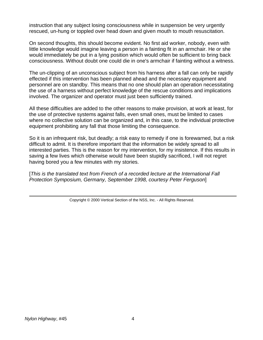instruction that any subject losing consciousness while in suspension be very urgently rescued, un-hung or toppled over head down and given mouth to mouth resuscitation.

On second thoughts, this should become evident. No first aid worker, nobody, even with little knowledge would imagine leaving a person in a fainting fit in an armchair. He or she would immediately be put in a lying position which would often be sufficient to bring back consciousness. Without doubt one could die in one's armchair if fainting without a witness.

The un-clipping of an unconscious subject from his harness after a fall can only be rapidly effected if this intervention has been planned ahead and the necessary equipment and personnel are on standby. This means that no one should plan an operation necessitating the use of a harness without perfect knowledge of the rescue conditions and implications involved. The organizer and operator must just been sufficiently trained.

All these difficulties are added to the other reasons to make provision, at work at least, for the use of protective systems against falls, even small ones, must be limited to cases where no collective solution can be organized and, in this case, to the individual protective equipment prohibiting any fall that those limiting the consequence.

So it is an infrequent risk, but deadly; a risk easy to remedy if one is forewarned, but a risk difficult to admit. It is therefore important that the information be widely spread to all interested parties. This is the reason for my intervention, for my insistence. If this results in saving a few lives which otherwise would have been stupidly sacrificed, I will not regret having bored you a few minutes with my stories.

[*This is the translated text from French of a recorded lecture at the International Fall Protection Symposium, Germany, September 1998, courtesy Peter Ferguson*]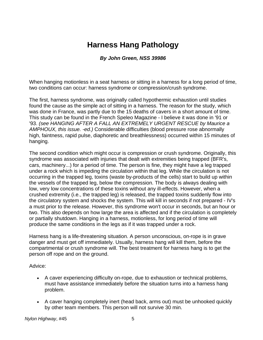# **Harness Hang Pathology**

#### *By John Green, NSS 39986*

When hanging motionless in a seat harness or sitting in a harness for a long period of time, two conditions can occur: harness syndrome or compression/crush syndrome.

The first, harness syndrome, was originally called hypothermic exhaustion until studies found the cause as the simple act of sitting in a harness. The reason for the study, which was done in France, was partly due to the 15 deaths of cavers in a short amount of time. This study can be found in the French Speleo Magazine - I believe it was done in '91 or '93. *(see HANGING AFTER A FALL AN EXTREMELY URGENT RESCUE by Maurice a AMPHOUX, this issue. -ed.)* Considerable difficulties (blood pressure rose abnormally high, faintness, rapid pulse, diaphoretic and breathlessness) occurred within 15 minutes of hanging.

The second condition which might occur is compression or crush syndrome. Originally, this syndrome was associated with injuries that dealt with extremities being trapped (BFR's, cars, machinery...) for a period of time. The person is fine, they might have a leg trapped under a rock which is impeding the circulation within that leg. While the circulation is not occurring in the trapped leg, toxins (waste by-products of the cells) start to build up within the vessels of the trapped leg, below the compression. The body is always dealing with low, very low concentrations of these toxins without any ill-effects. However, when a crushed extremity (i.e., the trapped leg) is released, the trapped toxins suddenly flow into the circulatory system and shocks the system. This will kill in seconds if not prepared - IV's a must prior to the release. However, this syndrome won't occur in seconds, but an hour or two. This also depends on how large the area is affected and if the circulation is completely or partially shutdown. Hanging in a harness, motionless, for long period of time will produce the same conditions in the legs as if it was trapped under a rock.

Harness hang is a life-threatening situation. A person unconscious, on-rope is in grave danger and must get off immediately. Usually, harness hang will kill them, before the compartmental or crush syndrome will. The best treatment for harness hang is to get the person off rope and on the ground.

Advice:

- A caver experiencing difficulty on-rope, due to exhaustion or technical problems, must have assistance immediately before the situation turns into a harness hang problem.
- A caver hanging completely inert (head back, arms out) must be unhooked quickly by other team members. This person will not survive 30 min.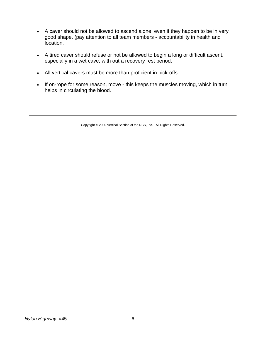- A caver should not be allowed to ascend alone, even if they happen to be in very good shape. (pay attention to all team members - accountability in health and location.
- A tired caver should refuse or not be allowed to begin a long or difficult ascent, especially in a wet cave, with out a recovery rest period.
- All vertical cavers must be more than proficient in pick-offs.
- If on-rope for some reason, move this keeps the muscles moving, which in turn helps in circulating the blood.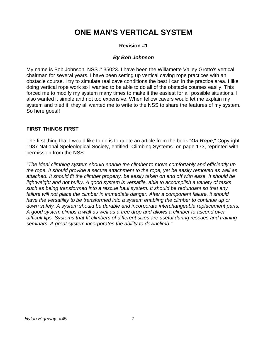# **ONE MAN'S VERTICAL SYSTEM**

# **Revision #1**

#### *By Bob Johnson*

My name is Bob Johnson, NSS # 35023. I have been the Willamette Valley Grotto's vertical chairman for several years. I have been setting up vertical caving rope practices with an obstacle course. I try to simulate real cave conditions the best I can in the practice area. I like doing vertical rope work so I wanted to be able to do all of the obstacle courses easily. This forced me to modify my system many times to make it the easiest for all possible situations. I also wanted it simple and not too expensive. When fellow cavers would let me explain my system and tried it, they all wanted me to write to the NSS to share the features of my system. So here goes!!

#### **FIRST THINGS FIRST**

The first thing that I would like to do is to quote an article from the book "*On Rope*," Copyright 1987 National Speleological Society, entitled "Climbing Systems" on page 173, reprinted with permission from the NSS:

*"The ideal climbing system should enable the climber to move comfortably and efficiently up the rope. It should provide a secure attachment to the rope, yet be easily removed as well as attached. It should fit the climber properly, be easily taken on and off with ease. It should be lightweight and not bulky. A good system is versatile, able to accomplish a variety of tasks such as being transformed into a rescue haul system. It should be redundant so that any failure will not place the climber in immediate danger. After a component failure, it should have the versatility to be transformed into a system enabling the climber to continue up or down safely. A system should be durable and incorporate interchangeable replacement parts. A good system climbs a wall as well as a free drop and allows a climber to ascend over difficult lips. Systems that fit climbers of different sizes are useful during rescues and training seminars. A great system incorporates the ability to downclimb."*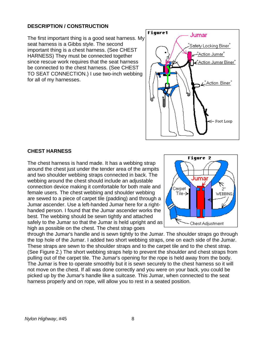# **DESCRIPTION / CONSTRUCTION**

The first important thing is a good seat harness. M y seat harness is a Gibbs style. The second important thing is a chest harness. (See CHEST HARNESS) They must be connected together since rescue work requires that the seat harness be connected to the chest harness. (See CHEST TO SEAT CONNECTION.) I use two-inch webbing for all of my harnesses.



# **CHEST HARNESS**

s safely to the Jumar so that the Jumar is held upright and a The chest harness is hand made. It has a webbing strap around the chest just under the tender area of the armpits and two shoulder webbing straps connected in back. The webbing around the chest should include an adjustable connection device making it comfortable for both male and female users. The chest webbing and shoulder webbing are sewed to a piece of carpet tile (padding) and through a Jumar ascender. Use a left-handed Jumar here for a righthanded person. I found that the Jumar ascender works the best. The webbing should be sewn tightly and attached high as possible on the chest. The chest strap goes



through the Jumar's handle and is sewn tightly to the Jumar. The shoulder straps go through the top hole of the Jumar. I added two short webbing straps, one on each side of the Jumar. These straps are sewn to the shoulder straps and to the carpet tile and to the chest strap. (See Figure 2.) The short webbing straps help to prevent the shoulder and chest straps from pulling out of the carpet tile. The Jumar's opening for the rope is held away from the body. The Jumar is free to operate smoothly but it is sewn securely to the chest harness so it will not move on the chest. If all was done correctly and you were on your back, you could be picked up by the Jumar's handle like a suitcase. This Jumar, when connected to the seat harness properly and on rope, will allow you to rest in a seated position.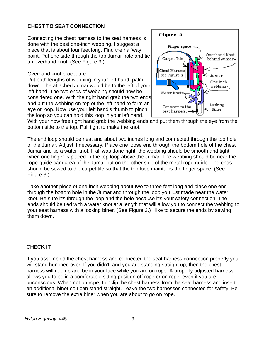# **CHEST TO SEAT CONNECTION**

Connecting the chest harness to the seat harness is done with the best one-inch webbing. I suggest a piece that is about four feet long. Find the halfway point. Put one side through the top Jumar hole and tie an overhand knot. (See Figure 3.)

Overhand knot procedure:

Put both lengths of webbing in your left hand, palm down. The attached Jumar would be to the left of your left hand. The two ends of webbing should now be considered one. With the right hand grab the two e nd s and put the webbing on top of the left hand to form a n eye or loop. Now use your left hand's thumb to pinch the loop so you can hold this loop in your left hand.



With your now free right hand grab the webbing ends and put them through the eye from the bottom side to the top. Pull tight to make the knot.

The end loop should be neat and about two inches long and connected through the top hole when one finger is placed in the top loop above the Jumar. The webbing should be near the of the Jumar. Adjust if necessary. Place one loose end through the bottom hole of the chest Jumar and tie a water knot. If all was done right, the webbing should be smooth and tight rope-guide cam area of the Jumar but on the other side of the metal rope guide. The ends should be sewed to the carpet tile so that the top loop maintains the finger space. (See Figure 3.)

Take another piece of one-inch webbing about two to three feet long and place one end ends should be tied with a water knot at a length that will allow you to connect the webbing to through the bottom hole in the Jumar and through the loop you just made near the water knot. Be sure it's through the loop and the hole because it's your safety connection. The your seat harness with a locking biner. (See Figure 3.) I like to secure the ends by sewing them down.

# **CHECK IT**

If you assembled the chest harness and connected the seat harness connection properly you harness will ride up and be in your face while you are on rope. A properly adjusted harness unconscious. When not on rope, I unclip the chest harness from the seat harness and insert will stand hunched over. If you didn't, and you are standing straight up, then the chest allows you to be in a comfortable sitting position off rope or on rope, even if you are an additional biner so I can stand straight. Leave the two harnesses connected for safety! Be sure to remove the extra biner when you are about to go on rope.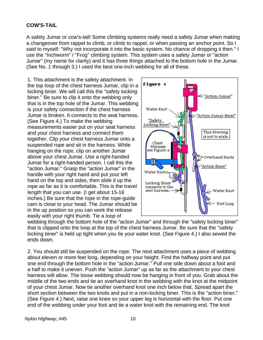#### **COW'S-TAIL**

A safety Jumar or cow's-tail! Some climbing systems really need a safety Jumar when making a changeover from rappel to climb, or climb to rappel, or when passing an anchor point. So I said to myself: "Why not incorporate it into the basic system. No chance of dropping it then." I use the "Inchworm" / "Frog" climbing system. This system uses a safety Jumar or "action Jumar" (my name for clarity) and it has three things attached to the bottom hole in the Jumar. (See No. 1 through 3.) I used the best one-inch webbing for all of these.

1. This attachment is the safety attachment. In the top loop of the chest harness Jumar, clip in a locking biner. We will call this the "safety locking biner." Be sure to clip it onto the webbing only that is in the top hole of the Jumar. This webbing is your safety connection if the chest harness Jumar is broken. It connects to the seat harness. (See Figure 4.) To make the webbing measurements easier put on your seat harness and your chest harness and connect them together. Clip your chest harness Jumar onto a suspended rope and sit in the harness. While hanging on the rope, clip on another Jumar above your chest Jumar. Use a right-handed Jumar for a right-handed person. I call this the "action Jumar." Grasp the "action Jumar" in the handle with your right hand and put your left hand on the top and sides, then slide it up the rope as far as it is comfortable. This is the travel length that you can use. (I get about 15-16 inches.) Be sure that the rope in the rope-guide cam is close to your head. The Jumar should be in the up position so you can work the release easily with your right thumb. Tie a loop of



webbing through the bottom hole of the "action Jumar" and through the "safety locking biner" that is clipped onto the loop at the top of the chest harness Jumar. Be sure that the "safety locking biner" is held up tight when you tie your water knot. (See Figure 4.) I also sewed the ends down.

2. You should still be suspended on the rope. The next attachment uses a piece of webbing about eleven or more feet long, depending on your height. Find the halfway point and put one end through the bottom hole in the "action Jumar." Pull one side down about a foot and a half to make it uneven. Push the "action Jumar" up as far as the attachment to your chest harness will allow. The loose webbing should now be hanging in front of you. Grab about the middle of the two ends and tie an overhand knot in the webbing with the knot at the midpoint of your chest Jumar. Now tie another overhand knot one inch below that. Spread apart the short section between the two knots and put in a non-locking biner. This is the "action biner." (See Figure 4.) Next, raise one knee so your upper leg is horizontal with the floor. Put one end of the webbing under your foot and tie a water knot with the remaining end. The knot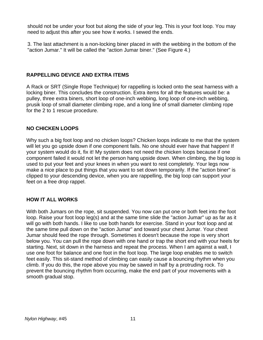should not be under your foot but along the side of your leg. This is your foot loop. You may need to adjust this after you see how it works. I sewed the ends.

3. The last attachment is a non-locking biner placed in with the webbing in the bottom of the "action Jumar." It will be called the "action Jumar biner." (See Figure 4.)

# **RAPPELLING DEVICE AND EXTRA ITEMS**

A Rack or SRT (Single Rope Technique) for rappelling is locked onto the seat harness with a locking biner. This concludes the construction. Extra items for all the features would be: a pulley, three extra biners, short loop of one-inch webbing, long loop of one-inch webbing, prusik loop of small diameter climbing rope, and a long line of small diameter climbing rope for the 2 to 1 rescue procedure.

# **NO CHICKEN LOOPS**

Why such a big foot loop and no chicken loops? Chicken loops indicate to me that the system will let you go upside down if one component fails. No one should ever have that happen! If your system would do it, fix it! My system does not need the chicken loops because if one component failed it would not let the person hang upside down. When climbing, the big loop is used to put your feet and your knees in when you want to rest completely. Your legs now make a nice place to put things that you want to set down temporarily. If the "action biner" is clipped to your descending device, when you are rappelling, the big loop can support your feet on a free drop rappel.

# **HOW IT ALL WORKS**

With both Jumars on the rope, sit suspended. You now can put one or both feet into the foot loop. Raise your foot loop leg(s) and at the same time slide the "action Jumar" up as far as it will go with both hands. I like to use both hands for exercise. Stand in your foot loop and at the same time pull down on the "action Jumar" and toward your chest Jumar. Your chest Jumar should feed the rope through. Sometimes it doesn't because the rope is very short below you. You can pull the rope down with one hand or trap the short end with your heels for starting. Next, sit down in the harness and repeat the process. When I am against a wall, I use one foot for balance and one foot in the foot loop. The large loop enables me to switch feet easily. This sit-stand method of climbing can easily cause a bouncing rhythm when you climb. If you do this, the rope above you may be sawed in half by a protruding rock. To prevent the bouncing rhythm from occurring, make the end part of your movements with a smooth gradual stop.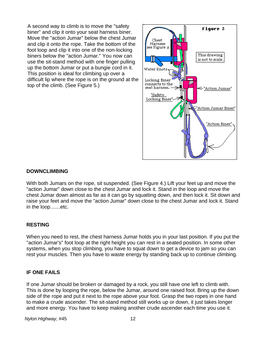A second way to climb is to move the "safety biner" and clip it onto your seat harness biner. Move the "action Jumar" below the chest Jumar and clip it onto the rope. Take the bottom of the foot loop and clip it into one of the non-locking biners below the "action Jumar." You now can use the sit-stand method with one finger pulling up the bottom Jumar or put a bungie cord in it. This position is ideal for climbing up over a difficult lip where the rope is on the ground at the top of the climb. (See Figure 5.)



#### **DOWNCLIMBING**

With both Jumars on the rope, sit suspended. (See Figure 4.) Lift your feet up and move the "action Jumar" down close to the chest Jumar and lock it. Stand in the loop and move the chest Jumar down almost as far as it can go by squatting down, and then lock it. Sit down and raise your feet and move the "action Jumar" down close to the chest Jumar and lock it. Stand in the loop.......etc.

# **RESTING**

When you need to rest, the chest harness Jumar holds you in your last position. If you put the "action Jumar's" foot loop at the right height you can rest in a seated position. In some other systems, when you stop climbing, you have to squat down to get a device to jam so you can rest your muscles. Then you have to waste energy by standing back up to continue climbing.

#### **IF ONE FAILS**

If one Jumar should be broken or damaged by a rock, you still have one left to climb with. This is done by looping the rope, below the Jumar, around one raised foot. Bring up the down side of the rope and put it next to the rope above your foot. Grasp the two ropes in one hand to make a crude ascender. The sit-stand method still works up or down, it just takes longer and more energy. You have to keep making another crude ascender each time you use it.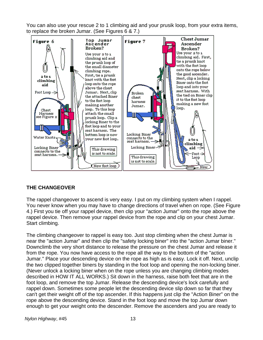You can also use your rescue 2 to 1 climbing aid and your prusik loop, from your extra items, to replace the broken Jumar. (See Figures 6 & 7.)



# **THE CHANGEOVER**

The rappel changeover to ascend is very easy. I put on my climbing system when I rappel. You never know when you may have to change directions of travel when on rope. (See Figure 4.) First you tie off your rappel device, then clip your "action Jumar" onto the rope above the rappel device. Then remove your rappel device from the rope and clip on your chest Jumar. Start climbing.

The climbing changeover to rappel is easy too. Just stop climbing when the chest Jumar is near the "action Jumar" and then clip the "safety locking biner" into the "action Jumar biner." Downclimb the very short distance to release the pressure on the chest Jumar and release it from the rope. You now have access to the rope all the way to the bottom of the "action Jumar." Place your descending device on the rope as high as is easy. Lock it off. Next, unclip the two clipped together biners by standing in the foot loop and opening the non-locking biner. (Never unlock a locking biner when on the rope unless you are changing climbing modes described in HOW IT ALL WORKS.) Sit down in the harness, raise both feet that are in the foot loop, and remove the top Jumar. Release the descending device's lock carefully and rappel down. Sometimes some people let the descending device slip down so far that they can't get their weight off of the top ascender. If this happens just clip the "Action Biner" on the rope above the descending device. Stand in the foot loop and move the top Jumar down enough to get your weight onto the descender. Remove the ascenders and you are ready to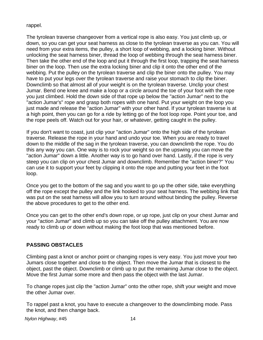#### rappel.

The tyrolean traverse changeover from a vertical rope is also easy. You just climb up, or down, so you can get your seat harness as close to the tyrolean traverse as you can. You will need from your extra items, the pulley, a short loop of webbing, and a locking biner. Without unlocking the seat harness biner, thread the loop of webbing through the seat harness biner. Then take the other end of the loop and put it through the first loop, trapping the seat harness biner on the loop. Then use the extra locking biner and clip it onto the other end of the webbing. Put the pulley on the tyrolean traverse and clip the biner onto the pulley. You may have to put your legs over the tyrolean traverse and raise your stomach to clip the biner. Downclimb so that almost all of your weight is on the tyrolean traverse. Unclip your chest Jumar. Bend one knee and make a loop or a circle around the toe of your foot with the rope you just climbed. Hold the down side of that rope up below the "action Jumar" next to the "action Jumar's" rope and grasp both ropes with one hand. Put your weight on the loop you just made and release the "action Jumar" with your other hand. If your tyrolean traverse is at a high point, then you can go for a ride by letting go of the foot loop rope. Point your toe, and the rope peels off. Watch out for your hair, or whatever, getting caught in the pulley.

If you don't want to coast, just clip your "action Jumar" onto the high side of the tyrolean traverse. Release the rope in your hand and undo your toe. When you are ready to travel down to the middle of the sag in the tyrolean traverse, you can downclimb the rope. You do this any way you can. One way is to rock your weight so on the upswing you can move the "action Jumar" down a little. Another way is to go hand over hand. Lastly, if the rope is very steep you can clip on your chest Jumar and downclimb. Remember the "action biner?" You can use it to support your feet by clipping it onto the rope and putting your feet in the foot loop.

Once you get to the bottom of the sag and you want to go up the other side, take everything off the rope except the pulley and the link hooked to your seat harness. The webbing link that was put on the seat harness will allow you to turn around without binding the pulley. Reverse the above procedures to get to the other end.

Once you can get to the other end's down rope, or up rope, just clip on your chest Jumar and your "action Jumar" and climb up so you can take off the pulley attachment. You are now ready to climb up or down without making the foot loop that was mentioned before.

# **PASSING OBSTACLES**

Climbing past a knot or anchor point or changing ropes is very easy. You just move your two Jumars close together and close to the object. Then move the Jumar that is closest to the object, past the object. Downclimb or climb up to put the remaining Jumar close to the object. Move the first Jumar some more and then pass the object with the last Jumar.

To change ropes just clip the "action Jumar" onto the other rope, shift your weight and move the other Jumar over.

To rappel past a knot, you have to execute a changeover to the downclimbing mode. Pass the knot, and then change back.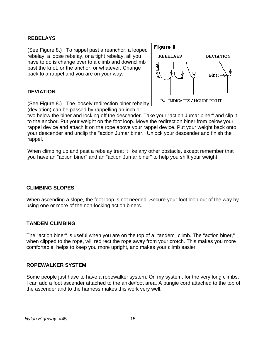# **REBELAYS**

(See Figure 8.) To rappel past a reanchor, a looped rebelay, a loose rebelay, or a tight rebelay, all you have to do is change over to a climb and downclimb past the knot, or the anchor, or whatever. Change back to a rappel and you are on your way.

#### **DEVIATION**



(See Figure 8.) The loosely redirection biner r ebelay (deviation) can be passed by rappelling an inch or

two below the biner and locking off the descender. Take your "action Jumar biner" and clip it to the anchor. Put your weight on the foot loop. Move the redirection biner from below your rappel device and attach it on the rope above your rappel device. Put your weight back onto your descender and unclip the "action Jumar biner." Unlock your descender and finish the rappel.

When climbing up and past a rebelay treat it like any other obstacle, except remember that you have an "action biner" and an "action Jumar biner" to help you shift your weight.

# **CLIMBING SLOPES**

When ascending a slope, the foot loop is not needed. Secure your foot loop out of the way by using one or more of the non-locking action biners.

#### **TANDEM CLIMBING**

The "action biner" is useful when you are on the top of a "tandem" climb. The "action biner," when clipped to the rope, will redirect the rope away from your crotch. This makes you more comfortable, helps to keep you more upright, and makes your climb easier.

#### **ROPEWALKER SYSTEM**

Some people just have to have a ropewalker system. On my system, for the very long climbs, I can add a foot ascender attached to the ankle/foot area. A bungie cord attached to the top of the ascender and to the harness makes this work very well.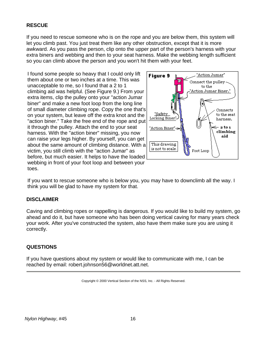# **RESCUE**

If you need to rescue someone who is on the rope and you are below them, this system will let you climb past. You just treat them like any other obstruction, except that it is more awkward. As you pass the person, clip onto the upper part of the person's harness with your extra biners and webbing and then to your seat harness. Make the webbing length sufficient so you can climb above the person and you won't hit them with your feet.

I found some people so heavy that I could only lift them about one or two inches at a time. This was unacceptable to me, so I found that a 2 to 1 climbing aid was helpful. (See Figure 9.) From your extra items, clip the pulley onto your "action Jumar biner" and make a new foot loop from the long line of small diameter climbing rope. Copy the one t hat' s on your system, but leave off the extra knot and th e "action biner." Take the free end of the rope and put it through the pulley. Attach the end to your seat harness. With the "action biner" missing, you now can raise your legs higher. By yourself, you can g et about the same amount of climbing distance. Wit h a victim, you still climb with the "action Jumar" as before, but much easier. It helps to have the loaded webbing in front of your foot loop and between y our toes.



If you want to rescue someone who is below you, you may have to downclimb all the way. I think you will be glad to have my system for that.

#### **DISCLAIMER**

Caving and climbing ropes or rappelling is dangerous. If you would like to build my system, go ahead and do it, but have someone who has been doing vertical caving for many years check your work. After you've constructed the system, also have them make sure you are using it correctly.

# **QUESTIONS**

If you have questions about my system or would like to communicate with me, I can be reached by email: robert.johnson56@worldnet.att.net.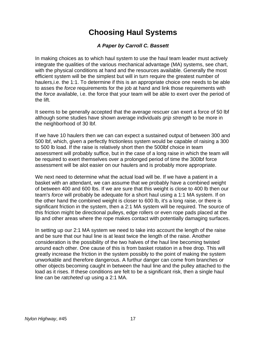# **Choosing Haul Systems**

# *A Paper by Carroll C. Bassett*

In making choices as to which haul system to use the haul team leader must actively integrate the qualities of the various mechanical advantage (MA) systems, see chart, with the physical conditions at hand and the resources available. Generally the most efficient system will be the simplest but will in turn require the greatest number of haulers,i.e. the 1:1. To determine if this is an appropriate choice one needs to be able to asses the *force* requirements for the job at hand and link those requirements with the *force* available, i.e. the force that your team will be able to exert over the period of the lift.

It seems to be generally accepted that the average rescuer can exert a force of 50 lbf although some studies have shown average individuals *grip strength* to be more in the neighborhood of 30 lbf.

If we have 10 haulers then we can can expect a sustained output of between 300 and 500 lbf, which, given a perfectly frictionless system would be capable of raising a 300 to 500 lb load. If the raise is relatively short then the 500lbf choice in team assessment will probably suffice, but in the case of a long raise in which the team will be required to exert themselves over a prolonged period of time the 300lbf force assessment will be alot easier on our haulers and is probably more appropriate.

We next need to determine what the actual load will be. If we have a patient in a basket with an attendant, we can assume that we probably have a combined weight of between 400 and 600 lbs. If we are sure that this weight is close to 400 lb then our team's *force* will probably be adequate for a short haul using a 1:1 MA system. If on the other hand the combined weight is closer to 600 lb, it's a long raise, or there is significant friction in the system, then a 2:1 MA system will be required. The source of this friction might be directional pulleys, edge rollers or even rope pads placed at the lip and other areas where the rope makes contact with potentially damaging surfaces.

In setting up our 2:1 MA system we need to take into account the length of the raise and be sure that our haul line is at least twice the length of the raise. Another consideration is the possibility of the two halves of the haul line becoming twisted around each other. One cause of this is from basket rotation in a free drop. This will greatly increase the friction in the system possibly to the point of making the system unworkable and therefore dangerous. A furthur danger can come from branches or other objects becoming caught in between the haul line and the pulley attached to the load as it rises. If these conditions are felt to be a significant risk, then a single haul line can be *ratcheted* up using a 2:1 MA.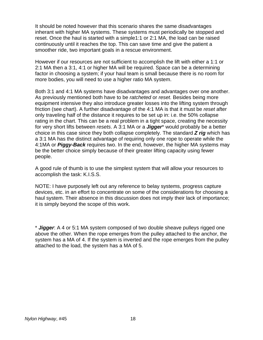It should be noted however that this scenario shares the same disadvantages inherant with higher MA systems. These systems must periodically be stopped and reset. Once the haul is started with a simple1:1 or 2:1 MA, the load can be raised continuously until it reaches the top. This can save time and give the patient a smoother ride, two important goals in a rescue environment.

However if our resources are not sufficient to accomplish the lift with either a 1:1 or 2:1 MA then a 3:1, 4:1 or higher MA will be required. Space can be a determining factor in choosing a system; if your haul team is small because there is no room for more bodies, you will need to use a higher ratio MA system.

Both 3:1 and 4:1 MA systems have disadvantages and advantages over one another. As previously mentioned both have to be *ratcheted* or *reset*. Besides being more equipment intensive they also introduce greater losses into the lifting system through friction (see chart). A further disadvantage of the 4:1 MA is that it must be *reset* after only traveling half of the distance it requires to be set up in: i.e. the 50% collapse rating in the chart. This can be a real problem in a tight space, creating the necessity for very short lifts between *resets*. A 3:1 MA or a *Jigger*\* would probably be a better choice in this case since they both collapse completely. The standard *Z rig* which has a 3:1 MA has the distinct advantage of requiring only one rope to operate while the 4:1MA or *Piggy-Back* requires two. In the end, however, the higher MA systems may be the better choice simply because of their greater lifting capacity using fewer people.

A good rule of thumb is to use the simplest system that will allow your resources to accomplish the task: K.I.S.S.

NOTE: I have purposely left out any reference to belay systems, progress capture devices, etc. in an effort to concentrate on some of the considerations for choosing a haul system. Their absence in this discussion does not imply their lack of importance; it is simply beyond the scope of this work.

\* *Jigger*: A 4 or 5:1 MA system composed of two double sheave pulleys rigged one above the other. When the rope emerges from the pulley attached to the anchor, the system has a MA of 4. If the system is inverted and the rope emerges from the pulley attached to the load, the system has a MA of 5.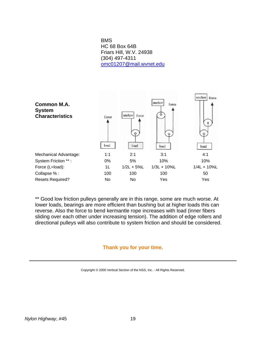BMS HC 68 Box 64B Friars Hill, W.V. 24938 (304) 497-4311 [omc01207@mail.wvnet.edu](mailto:omc01207@mail.wvnet.edu)



\*\* Good low friction pulleys generally are in this range, some are much worse. At lower loads, bearings are more efficient than bushing but at higher loads this can reverse. Also the force to bend kermantle rope increases with load (inner fibers sliding over each other under increasing tension). The addition of edge rollers and directional pulleys will also contribute to system friction and should be considered.

#### **Thank you for your time.**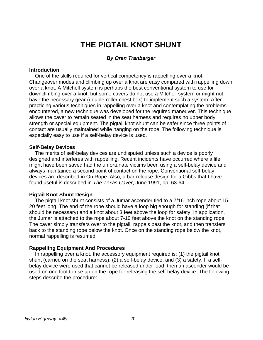# **THE PIGTAIL KNOT SHUNT**

#### *By Oren Tranbarger*

#### **Introduction**

 One of the skills required for vertical competency is rappelling over a knot. Changeover modes and climbing up over a knot are easy compared with rappelling down over a knot. A Mitchell system is perhaps the best conventional system to use for downclimbing over a knot, but some cavers do not use a Mitchell system or might not have the necessary gear (double-roller chest box) to implement such a system. After practicing various techniques in rappelling over a knot and contemplating the problems encountered, a new technique was developed for the required maneuver. This technique allows the caver to remain seated in the seat harness and requires no upper body strength or special equipment. The pigtail knot shunt can be safer since three points of contact are usually maintained while hanging on the rope. The following technique is especially easy to use if a self-belay device is used.

#### **Self-Belay Devices**

 The merits of self-belay devices are undisputed unless such a device is poorly designed and interferes with rappelling. Recent incidents have occurred where a life might have been saved had the unfortunate victims been using a self-belay device and always maintained a second point of contact on the rope. Conventional self-belay devices are described in On Rope. Also, a bar-release design for a Gibbs that I have found useful is described in *The Texas Caver*, June 1991, pp. 63-64.

#### **Pigtail Knot Shunt Design**

 The pigtail knot shunt consists of a Jumar ascender tied to a 7/16-inch rope about 15- 20 feet long. The end of the rope should have a loop big enough for standing (if that should be necessary) and a knot about 3 feet above the loop for safety. In application, the Jumar is attached to the rope about 7-10 feet above the knot on the standing rope. The caver simply transfers over to the pigtail, rappels past the knot, and then transfers back to the standing rope below the knot. Once on the standing rope below the knot, normal rappelling is resumed.

#### **Rappelling Equipment And Procedures**

 In rappelling over a knot, the accessory equipment required is: (1) the pigtail knot shunt (carried on the seat harness); (2) a self-belay device; and (3) a safety. If a selfbelay device were used that cannot be released under load, then an ascender would be used on one foot to rise up on the rope for releasing the self-belay device. The following steps describe the procedure: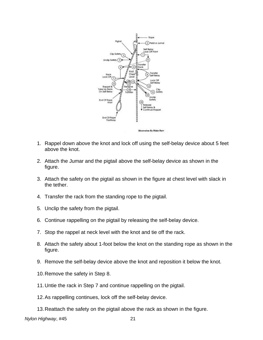

- 1. Rappel down above the knot and lock off using the self-belay device about 5 feet above the knot.
- 2. Attach the Jumar and the pigtail above the self-belay device as shown in the figure.
- 3. Attach the safety on the pigtail as shown in the figure at chest level with slack in the tether.
- 4. Transfer the rack from the standing rope to the pigtail.
- 5. Unclip the safety from the pigtail.
- 6. Continue rappelling on the pigtail by releasing the self-belay device.
- 7. Stop the rappel at neck level with the knot and tie off the rack.
- 8. Attach the safety about 1-foot below the knot on the standing rope as shown in the figure.
- 9. Remove the self-belay device above the knot and reposition it below the knot.
- 10. Remove the safety in Step 8.
- 11. Untie the rack in Step 7 and continue rappelling on the pigtail.
- 12. As rappelling continues, lock off the self-belay device.
- 13. Reattach the safety on the pigtail above the rack as shown in the figure.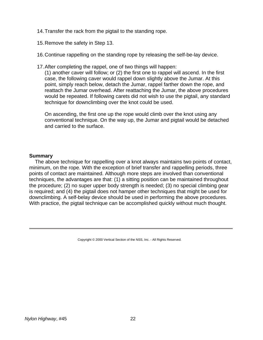- 14. Transfer the rack from the pigtail to the standing rope.
- 15. Remove the safety in Step 13.
- 16. Continue rappelling on the standing rope by releasing the self-be-lay device.
- 17. After completing the rappel, one of two things will happen:

(1) another caver will follow; or (2) the first one to rappel will ascend. In the first case, the following caver would rappel down slightly above the Jumar. At this point, simply reach below, detach the Jumar, rappel farther down the rope, and reattach the Jumar overhead. After reattaching the Jumar, the above procedures would be repeated. If following carets did not wish to use the pigtail, any standard technique for downclimbing over the knot could be used.

On ascending, the first one up the rope would climb over the knot using any conventional technique. On the way up, the Jumar and pigtail would be detached and carried to the surface.

#### **Summary**

 The above technique for rappelling over a knot always maintains two points of contact, minimum, on the rope. With the exception of brief transfer and rappelling periods, three points of contact are maintained. Although more steps are involved than conventional techniques, the advantages are that: (1) a sitting position can be maintained throughout the procedure; (2) no super upper body strength is needed; (3) no special climbing gear is required; and (4) the pigtail does not hamper other techniques that might be used for downclimbing. A self-belay device should be used in performing the above procedures. With practice, the pigtail technique can be accomplished quickly without much thought.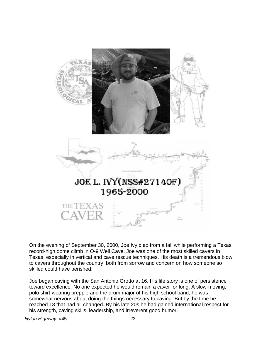

On the evening of September 30, 2000, Joe Ivy died from a fall while performing a Texas record-high dome climb in O-9 Well Cave. Joe was one of the most skilled cavers in Texas, especially in vertical and cave rescue techniques. His death is a tremendous blow to cavers throughout the country, both from sorrow and concern on how someone so skilled could have perished.

Joe began caving with the San Antonio Grotto at 16. His life story is one of persistence toward excellence. No one expected he would remain a caver for long. A slow-moving, polo shirt-wearing preppie and the drum major of his high school band, he was somewhat nervous about doing the things necessary to caving. But by the time he reached 18 that had all changed. By his late 20s he had gained international respect for his strength, caving skills, leadership, and irreverent good humor.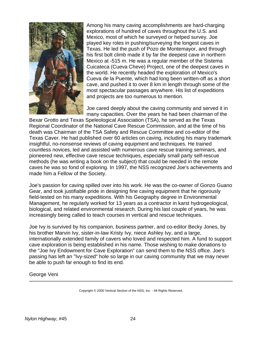

Among his many caving accomplishments are hard-charging explorations of hundred of caves throughout the U.S. and Mexico, most of which he surveyed or helped survey. Joe played key roles in pushing/surveying the longest caves in Texas. He led the push of Pozo de Montemayor, and through his first bolt climb made it by far the deepest cave in northern Mexico at -515 m. He was a regular member of the Sistema Cuicateca (Cueva Cheve) Project, one of the deepest caves in the world. He recently headed the exploration of Mexico's Cueva de la Puente, which had long been written-off as a short cave, and pushed it to over 8 km in length through some of the most spectacular passages anywhere. His list of expeditions and projects are too numerous to mention.

Joe cared deeply about the caving community and served it in many capacities. Over the years he had been chairman of the

Bexar Grotto and Texas Speleological Association (TSA), he served as the Texas Regional Coordinator of the National Cave Rescue Commission, and at the time of his death was Chairman of the TSA Safety and Rescue Committee and co-editor of the Texas Caver. He had published over 60 articles on caving, including his many trademark insightful, no-nonsense reviews of caving equipment and techniques. He trained countless novices, led and assisted with numerous cave rescue training seminars, and pioneered new, effective cave rescue techniques, especially small party self-rescue methods (he was writing a book on the subject) that could be needed in the remote caves he was so fond of exploring. In 1997, the NSS recognized Joe's achievements and made him a Fellow of the Society.

Joe's passion for caving spilled over into his work. He was the co-owner of Gonzo Guano Gear, and took justifiable pride in designing fine caving equipment that he rigorously field-tested on his many expeditions. With his Geography degree in Environmental Management, he regularly worked for 13 years as a contractor in karst hydrogeological, biological, and related environmental research. During his last couple of years, he was increasingly being called to teach courses in vertical and rescue techniques.

Joe Ivy is survived by his companion, business partner, and co-editor Becky Jones, by his brother Marvin Ivy, sister-in-law Kristy Ivy, niece Ashley Ivy, and a large, internationally extended family of cavers who loved and respected him. A fund to support cave exploration is being established in his name. Those wishing to make donations to the "Joe Ivy Endowment for Cave Exploration" can send them to the NSS office. Joe's passing has left an "Ivy-sized" hole so large in our caving community that we may never be able to push far enough to find its end.

George Veni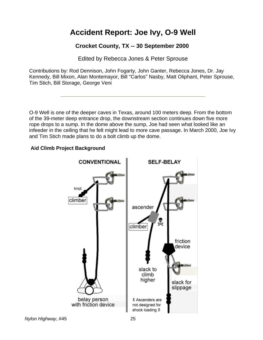# **Accident Report: Joe Ivy, O-9 Well**

# **Crocket County, TX -- 30 September 2000**

Edited by Rebecca Jones & Peter Sprouse

Contributions by: Rod Dennison, John Fogarty, John Ganter, Rebecca Jones, Dr. Jay Kennedy, Bill Mixon, Alan Montemayor, Bill "Carlos" Nasby, Matt Oliphant, Peter Sprouse, Tim Stich, Bill Storage, George Veni

O-9 Well is one of the deeper caves in Texas, around 100 meters deep. From the bottom of the 39-meter deep entrance drop, the downstream section continues down five more rope drops to a sump. In the dome above the sump, Joe had seen what looked like an infeeder in the ceiling that he felt might lead to more cave passage. In March 2000, Joe Ivy and Tim Stich made plans to do a bolt climb up the dome.

# **Aid Climb Project Background**

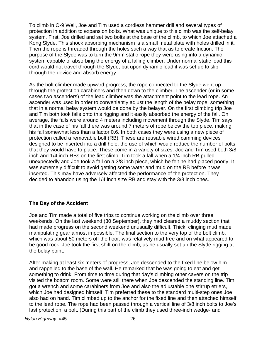To climb in O-9 Well, Joe and Tim used a cordless hammer drill and several types of protection in addition to expansion bolts. What was unique to this climb was the self-belay system. First, Joe drilled and set two bolts at the base of the climb, to which Joe attached a Kong Slyde. This shock absorbing mechanism is a small metal plate with holes drilled in it. Then the rope is threaded through the holes such a way that as to create friction. The purpose of the Slyde was to turn the 9mm static rope they were using into a dynamic system capable of absorbing the energy of a falling climber. Under normal static load this cord would not travel through the Slyde, but upon dynamic load it was set up to slip through the device and absorb energy.

As the bolt climber made upward progress, the rope connected to the Slyde went up through the protection carabiners and then down to the climber. The ascender (or in some cases two ascenders) of the lead climber was the attachment point to the lead rope. An ascender was used in order to conveniently adjust the length of the belay rope, something that in a normal belay system would be done by the belayer. On the first climbing trip Joe and Tim both took falls onto this rigging and it easily absorbed the energy of the fall. On average, the falls were around 4 meters including movement through the Slyde. Tim says that in the case of his fall there was around 7 meters of rope below the top piece, making his fall somewhat less than a factor 0.6. In both cases they were using a new piece of protection called a removable bolt (RB). These are reusable wired camming devices designed to be inserted into a drill hole, the use of which would reduce the number of bolts that they would have to place. These come in a variety of sizes. Joe and Tim used both 3/8 inch and 1/4 inch RBs on the first climb. Tim took a fall when a 1/4 inch RB pulled unexpectedly and Joe took a fall on a 3/8 inch piece, which he felt he had placed poorly. It was extremely difficult to avoid getting some water and mud on the RB before it was inserted. This may have adversely affected the performance of the protection. They decided to abandon using the 1/4 inch size RB and stay with the 3/8 inch ones.

# **The Day of the Accident**

Joe and Tim made a total of five trips to continue working on the climb over three weekends. On the last weekend (30 September), they had cleared a muddy section that had made progress on the second weekend unusually difficult. Thick, clinging mud made manipulating gear almost impossible. The final section to the very top of the bolt climb, which was about 50 meters off the floor, was relatively mud-free and on what appeared to be good rock. Joe took the first shift on the climb, as he usually set up the Slyde rigging at the belay point.

After making at least six meters of progress, Joe descended to the fixed line below him and rappelled to the base of the wall. He remarked that he was going to eat and get something to drink. From time to time during that day's climbing other cavers on the trip visited the bottom room. Some were still there when Joe descended the standing line. Tim got a wrench and some carabiners from Joe and also the adjustable one stirrup etriers, which Joe had designed himself. Tim preferred these to the standard multi-step ones Joe also had on hand. Tim climbed up to the anchor for the fixed line and then attached himself to the lead rope. The rope had been passed through a vertical line of 3/8 inch bolts to Joe's last protection, a bolt. (During this part of the climb they used three-inch wedge- and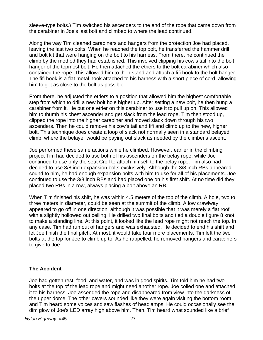sleeve-type bolts.) Tim switched his ascenders to the end of the rope that came down from the carabiner in Joe's last bolt and climbed to where the lead continued.

Along the way Tim cleaned carabiners and hangers from the protection Joe had placed, leaving the last two bolts. When he reached the top bolt, he transferred the hammer drill and bolt kit that were hanging on the bolt to his harness. From there, he continued the climb by the method they had established. This involved clipping his cow's tail into the bolt hanger of the topmost bolt. He then attached the etriers to the bolt carabiner which also contained the rope. This allowed him to then stand and attach a fifi hook to the bolt hanger. The fifi hook is a flat metal hook attached to his harness with a short piece of cord, allowing him to get as close to the bolt as possible.

From there, he adjusted the etriers to a position that allowed him the highest comfortable step from which to drill a new bolt hole higher up. After setting a new bolt, he then hung a carabiner from it. He put one etrier on this carabiner to use it to pull up on. This allowed him to thumb his chest ascender and get slack from the lead rope. Tim then stood up, clipped the rope into the higher carabiner and moved slack down through his two ascenders. Then he could remove his cow's tail and fifi and climb up to the new, higher bolt. This technique does create a loop of slack not normally seen in a standard belayed climb, where the belayer would be paying out slack as needed by the climber's ascent.

Joe performed these same actions while he climbed. However, earlier in the climbing project Tim had decided to use both of his ascenders on the belay rope, while Joe continued to use only the seat Croll to attach himself to the belay rope. Tim also had decided to use 3/8 inch expansion bolts exclusively. Although the 3/8 inch RBs appeared sound to him, he had enough expansion bolts with him to use for all of his placements. Joe continued to use the 3/8 inch RBs and had placed one on his first shift. At no time did they placed two RBs in a row, always placing a bolt above an RB.

When Tim finished his shift, he was within 4.5 meters of the top of the climb. A hole, two to three meters in diameter, could be seen at the summit of the climb. A low crawlway appeared to go off in one direction, although it was possible that it was merely a flat roof with a slightly hollowed out ceiling. He drilled two final bolts and tied a double figure 8 knot to make a standing line. At this point, it looked like the lead rope might not reach the top. In any case, Tim had run out of hangers and was exhausted. He decided to end his shift and let Joe finish the final pitch. At most, it would take four more placements. Tim left the two bolts at the top for Joe to climb up to. As he rappelled, he removed hangers and carabiners to give to Joe.

# **The Accident**

Joe had gotten rest, food, and water, and was in good spirits. Tim told him he had two bolts at the top of the lead rope and might need another rope. Joe coiled one and attached it to his harness. Joe ascended the rope and disappeared from view into the darkness of the upper dome. The other cavers sounded like they were again visiting the bottom room, and Tim heard some voices and saw flashes of headlamps. He could occasionally see the dim glow of Joe's LED array high above him. Then, Tim heard what sounded like a brief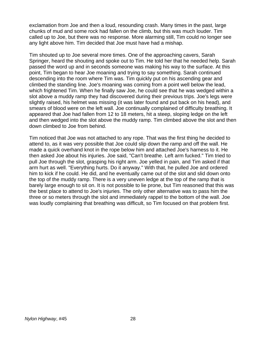exclamation from Joe and then a loud, resounding crash. Many times in the past, large chunks of mud and some rock had fallen on the climb, but this was much louder. Tim called up to Joe, but there was no response. More alarming still, Tim could no longer see any light above him. Tim decided that Joe must have had a mishap.

Tim shouted up to Joe several more times. One of the approaching cavers, Sarah Springer, heard the shouting and spoke out to Tim. He told her that he needed help. Sarah passed the word up and in seconds someone was making his way to the surface. At this point, Tim began to hear Joe moaning and trying to say something. Sarah continued descending into the room where Tim was. Tim quickly put on his ascending gear and climbed the standing line. Joe's moaning was coming from a point well below the lead, which frightened Tim. When he finally saw Joe, he could see that he was wedged within a slot above a muddy ramp they had discovered during their previous trips. Joe's legs were slightly raised, his helmet was missing (it was later found and put back on his head), and smears of blood were on the left wall. Joe continually complained of difficulty breathing. It appeared that Joe had fallen from 12 to 18 meters, hit a steep, sloping ledge on the left and then wedged into the slot above the muddy ramp. Tim climbed above the slot and then down climbed to Joe from behind.

Tim noticed that Joe was not attached to any rope. That was the first thing he decided to attend to, as it was very possible that Joe could slip down the ramp and off the wall. He made a quick overhand knot in the rope below him and attached Joe's harness to it. He then asked Joe about his injuries. Joe said, "Can't breathe. Left arm fucked." Tim tried to pull Joe through the slot, grasping his right arm. Joe yelled in pain, and Tim asked if that arm hurt as well. "Everything hurts. Do it anyway." With that, he pulled Joe and ordered him to kick if he could. He did, and he eventually came out of the slot and slid down onto the top of the muddy ramp. There is a very uneven ledge at the top of the ramp that is barely large enough to sit on. It is not possible to lie prone, but Tim reasoned that this was the best place to attend to Joe's injuries. The only other alternative was to pass him the three or so meters through the slot and immediately rappel to the bottom of the wall. Joe was loudly complaining that breathing was difficult, so Tim focused on that problem first.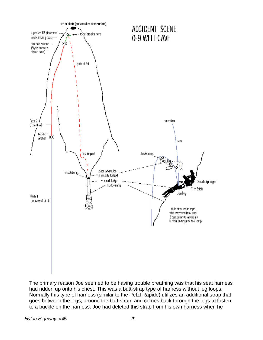

The primary reason Joe seemed to be having trouble breathing was that his seat harness had ridden up onto his chest. This was a butt-strap type of harness without leg loops. Normally this type of harness (similar to the Petzl Rapide) utilizes an additional strap that goes between the legs, around the butt strap, and comes back through the legs to fasten to a buckle on the harness. Joe had deleted this strap from his own harness when he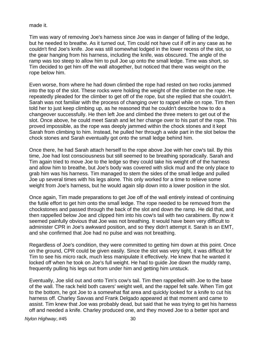made it.

Tim was wary of removing Joe's harness since Joe was in danger of falling of the ledge, but he needed to breathe. As it turned out, Tim could not have cut if off in any case as he couldn't find Joe's knife. Joe was still somewhat lodged in the lower recess of the slot, so the gear hanging from his harness, including the knife, was obscured. The angle of the ramp was too steep to allow him to pull Joe up onto the small ledge. Time was short, so Tim decided to get him off the wall altogether, but noticed that there was weight on the rope below him.

Even worse, from where he had down climbed the rope had rested on two rocks jammed into the top of the slot. These rocks were holding the weight of the climber on the rope. He repeatedly pleaded for the climber to get off of the rope, but she replied that she couldn't. Sarah was not familiar with the process of changing over to rappel while on rope. Tim then told her to just keep climbing up, as he reasoned that he couldn't describe how to do a changeover successfully. He then left Joe and climbed the three meters to get out of the slot. Once above, he could meet Sarah and let her change over to his part of the rope. This proved impossible, as the rope was deeply jammed within the chock stones and it kept Sarah from climbing to him. Instead, he pulled her through a wide part in the slot below the chock stones and Sarah eventually got onto the small ledge behind him.

Once there, he had Sarah attach herself to the rope above Joe with her cow's tail. By this time, Joe had lost consciousness but still seemed to be breathing sporadically. Sarah and Tim again tried to move Joe to the ledge so they could take his weight off of the harness and allow him to breathe, but Joe's body was covered with slick mud and the only place to grab him was his harness. Tim managed to stem the sides of the small ledge and pulled Joe up several times with his legs alone. This only worked for a time to relieve some weight from Joe's harness, but he would again slip down into a lower position in the slot.

Once again, Tim made preparations to get Joe off of the wall entirely instead of continuing the futile effort to get him onto the small ledge. The rope needed to be removed from the chockstones and passed through the back of the slot and down the ramp. He did that, and then rappelled below Joe and clipped him into his cow's tail with two carabiners. By now it seemed painfully obvious that Joe was not breathing. It would have been very difficult to administer CPR in Joe's awkward position, and so they didn't attempt it. Sarah is an EMT, and she confirmed that Joe had no pulse and was not breathing.

Regardless of Joe's condition, they were committed to getting him down at this point. Once on the ground, CPR could be given easily. Since the slot was very tight, it was difficult for Tim to see his micro rack, much less manipulate it effectively. He knew that he wanted it locked off when he took on Joe's full weight. He had to guide Joe down the muddy ramp, frequently pulling his legs out from under him and getting him unstuck.

Eventually, Joe slid out and onto Tim's cow's tail. Tim then rappelled with Joe to the base of the wall. The rack held both cavers' weight well, and the rappel felt safe. When Tim got to the bottom, he got Joe to a somewhat flat area and quickly looked for a knife to cut his harness off. Charley Savvas and Frank Delgado appeared at that moment and came to assist. Tim knew that Joe was probably dead, but said that he was trying to get his harness off and needed a knife. Charley produced one, and they moved Joe to a better spot and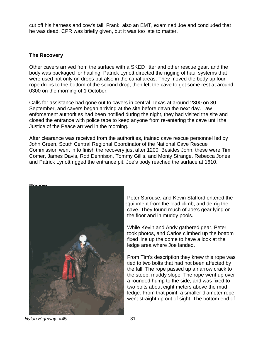cut off his harness and cow's tail. Frank, also an EMT, examined Joe and concluded that he was dead. CPR was briefly given, but it was too late to matter.

#### **The Recovery**

Other cavers arrived from the surface with a SKED litter and other rescue gear, and the body was packaged for hauling. Patrick Lynott directed the rigging of haul systems that were used not only on drops but also in the canal areas. They moved the body up four rope drops to the bottom of the second drop, then left the cave to get some rest at around 0300 on the morning of 1 October.

Calls for assistance had gone out to cavers in central Texas at around 2300 on 30 September, and cavers began arriving at the site before dawn the next day. Law enforcement authorities had been notified during the night, they had visited the site and closed the entrance with police tape to keep anyone from re-entering the cave until the Justice of the Peace arrived in the morning.

After clearance was received from the authorities, trained cave rescue personnel led by John Green, South Central Regional Coordinator of the National Cave Rescue Commission went in to finish the recovery just after 1200. Besides John, these were Tim Comer, James Davis, Rod Dennison, Tommy Gillis, and Monty Strange. Rebecca Jones and Patrick Lynott rigged the entrance pit. Joe's body reached the surface at 1610.



Peter Sprouse, and Kevin Stafford entered the equipment from the lead climb, and de-rig the cave. They found much of Joe's gear lying on the floor and in muddy pools.

While Kevin and Andy gathered gear, Peter took photos, and Carlos climbed up the bottom fixed line up the dome to have a look at the ledge area where Joe landed.

From Tim's description they knew this rope was tied to two bolts that had not been affected by the fall. The rope passed up a narrow crack to the steep, muddy slope. The rope went up over a rounded hump to the side, and was fixed to two bolts about eight meters above the mud ledge. From that point, a smaller diameter rope went straight up out of sight. The bottom end of

*Nylon Highway*, #45 31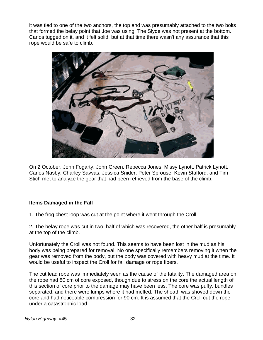it was tied to one of the two anchors, the top end was presumably attached to the two bolts that formed the belay point that Joe was using. The Slyde was not present at the bottom. Carlos tugged on it, and it felt solid, but at that time there wasn't any assurance that this rope would be safe to climb.



On 2 October, John Fogarty, John Green, Rebecca Jones, Missy Lynott, Patrick Lynott, Carlos Nasby, Charley Savvas, Jessica Snider, Peter Sprouse, Kevin Stafford, and Tim Stich met to analyze the gear that had been retrieved from the base of the climb.

# **Items Damaged in the Fall**

1. The frog chest loop was cut at the point where it went through the Croll.

2. The belay rope was cut in two, half of which was recovered, the other half is presumably at the top of the climb.

Unfortunately the Croll was not found. This seems to have been lost in the mud as his body was being prepared for removal. No one specifically remembers removing it when the gear was removed from the body, but the body was covered with heavy mud at the time. It would be useful to inspect the Croll for fall damage or rope fibers.

The cut lead rope was immediately seen as the cause of the fatality. The damaged area on the rope had 80 cm of core exposed, though due to stress on the core the actual length of this section of core prior to the damage may have been less. The core was puffy, bundles separated, and there were lumps where it had melted. The sheath was shoved down the core and had noticeable compression for 90 cm. It is assumed that the Croll cut the rope under a catastrophic load.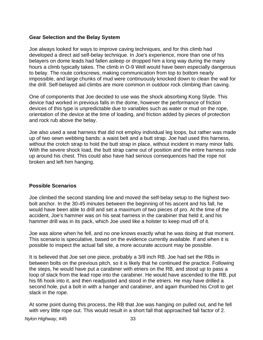#### **Gear Selection and the Belay System**

Joe always looked for ways to improve caving techniques, and for this climb had developed a direct aid self-belay technique. In Joe's experience, more than one of his belayers on dome leads had fallen asleep or dropped him a long way during the many hours a climb typically takes. The climb in O-9 Well would have been especially dangerous to belay. The route corkscrews, making communication from top to bottom nearly impossible, and large chunks of mud were continuously knocked down to clean the wall for the drill. Self-belayed aid climbs are more common in outdoor rock climbing than caving.

One of components that Joe decided to use was the shock absorbing Kong Slyde. This device had worked in previous falls in the dome, however the performance of friction devices of this type is unpredictable due to variables such as water or mud on the rope, orientation of the device at the time of loading, and friction added by pieces of protection and rock rub above the belay.

Joe also used a seat harness that did not employ individual leg loops, but rather was made up of two sewn webbing bands: a waist belt and a butt strap. Joe had used this harness, without the crotch strap to hold the butt strap in place, without incident in many minor falls. With the severe shock load, the butt strap came out of position and the entire harness rode up around his chest. This could also have had serious consequences had the rope not broken and left him hanging.

#### **Possible Scenarios**

Joe climbed the second standing line and moved the self-belay setup to the highest twobolt anchor. In the 30-45 minutes between the beginning of his ascent and his fall, he would have been able to drill and set a maximum of two pieces of pro. At the time of the accident, Joe's hammer was on his seat harness in the carabiner that held it, and his hammer drill was in its pack, which Joe used like a holster to keep mud off of it.

Joe was alone when he fell, and no one knows exactly what he was doing at that moment. This scenario is speculative, based on the evidence currently available. If and when it is possible to inspect the actual fall site, a more accurate account may be possible.

It is believed that Joe set one piece, probably a 3/8 inch RB. Joe had set the RBs in between bolts on the previous pitch, so it is likely that he continued the practice. Following the steps, he would have put a carabiner with etriers on the RB, and stood up to pass a loop of slack from the lead rope into the carabiner. He would have ascended to the RB, put his fifi hook into it, and then readjusted and stood in the etriers. He may have drilled a second hole, put a bolt in with a hanger and carabiner, and again thumbed his Croll to get slack in the rope.

At some point during this process, the RB that Joe was hanging on pulled out, and he fell with very little rope out. This would result in a short fall that approached fall factor of 2.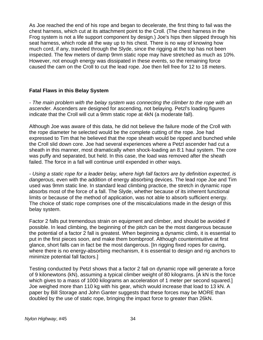As Joe reached the end of his rope and began to decelerate, the first thing to fail was the chest harness, which cut at its attachment point to the Croll. (The chest harness in the Frog system is not a life support component by design.) Joe's hips then slipped through his seat harness, which rode all the way up to his chest. There is no way of knowing how much cord, if any, traveled through the Slyde, since the rigging at the top has not been inspected. The few meters of damp 9mm static rope may have stretched as much as 10%. However, not enough energy was dissipated in these events, so the remaining force caused the cam on the Croll to cut the lead rope. Joe then fell free for 12 to 18 meters.

#### **Fatal Flaws in this Belay System**

*- The main problem with the belay system was connecting the climber to the rope with an ascender.* Ascenders are designed for ascending, not belaying. Petzl's loading figures indicate that the Croll will cut a 9mm static rope at 4kN (a moderate fall).

Although Joe was aware of this data, he did not believe the failure mode of the Croll with the rope diameter he selected would be the complete cutting of the rope. Joe had expressed to Tim that he believed that the rope sheath would be ripped and bunched while the Croll slid down core. Joe had several experiences where a Petzl ascender had cut a sheath in this manner, most dramatically when shock-loading an 8:1 haul system. The core was puffy and separated, but held. In this case, the load was removed after the sheath failed. The force in a fall will continue until expended in other ways.

*- Using a static rope for a leader belay, where high fall factors are by definition expected, is dangerous,* even with the addition of energy absorbing devices. The lead rope Joe and Tim used was 9mm static line. In standard lead climbing practice, the stretch in dynamic rope absorbs most of the force of a fall. The Slyde, whether because of its inherent functional limits or because of the method of application, was not able to absorb sufficient energy. The choice of static rope comprises one of the miscalculations made in the design of this belay system.

Factor 2 falls put tremendous strain on equipment and climber, and should be avoided if possible. In lead climbing, the beginning of the pitch can be the most dangerous because the potential of a factor 2 fall is greatest. When beginning a dynamic climb, it is essential to put in the first pieces soon, and make them bombproof. Although counterintuitive at first glance, short falls can in fact be the most dangerous. [In rigging fixed ropes for caving, where there is no energy-absorbing mechanism, it is essential to design and rig anchors to minimize potential fall factors.]

Testing conducted by Petzl shows that a factor 2 fall on dynamic rope will generate a force of 9 kilonewtons (kN), assuming a typical climber weight of 80 kilograms. [A kN is the force which gives to a mass of 1000 kilograms an acceleration of 1 meter per second squared.] Joe weighed more than 110 kg with his gear, which would increase that load to 13 kN. A paper by Bill Storage and John Ganter suggests that these forces may be MORE than doubled by the use of static rope, bringing the impact force to greater than 26kN.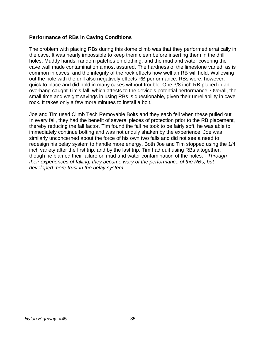#### **Performance of RBs in Caving Conditions**

The problem with placing RBs during this dome climb was that they performed erratically in the cave. It was nearly impossible to keep them clean before inserting them in the drill holes. Muddy hands, random patches on clothing, and the mud and water covering the cave wall made contamination almost assured. The hardness of the limestone varied, as is common in caves, and the integrity of the rock effects how well an RB will hold. Wallowing out the hole with the drill also negatively effects RB performance. RBs were, however, quick to place and did hold in many cases without trouble. One 3/8 inch RB placed in an overhang caught Tim's fall, which attests to the device's potential performance. Overall, the small time and weight savings in using RBs is questionable, given their unreliability in cave rock. It takes only a few more minutes to install a bolt.

Joe and Tim used Climb Tech Removable Bolts and they each fell when these pulled out. In every fall, they had the benefit of several pieces of protection prior to the RB placement, thereby reducing the fall factor. Tim found the fall he took to be fairly soft, he was able to immediately continue bolting and was not unduly shaken by the experience. Joe was similarly unconcerned about the force of his own two falls and did not see a need to redesign his belay system to handle more energy. Both Joe and Tim stopped using the 1/4 inch variety after the first trip, and by the last trip, Tim had quit using RBs altogether, though he blamed their failure on mud and water contamination of the holes. - *Through their experiences of falling, they became wary of the performance of the RBs, but developed more trust in the belay system.*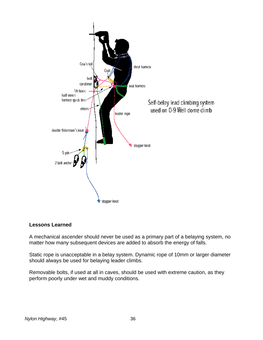

# **Lessons Learned**

A mechanical ascender should never be used as a primary part of a belaying system, no matter how many subsequent devices are added to absorb the energy of falls.

Static rope is unacceptable in a belay system. Dynamic rope of 10mm or larger diameter should always be used for belaying leader climbs.

Removable bolts, if used at all in caves, should be used with extreme caution, as they perform poorly under wet and muddy conditions.